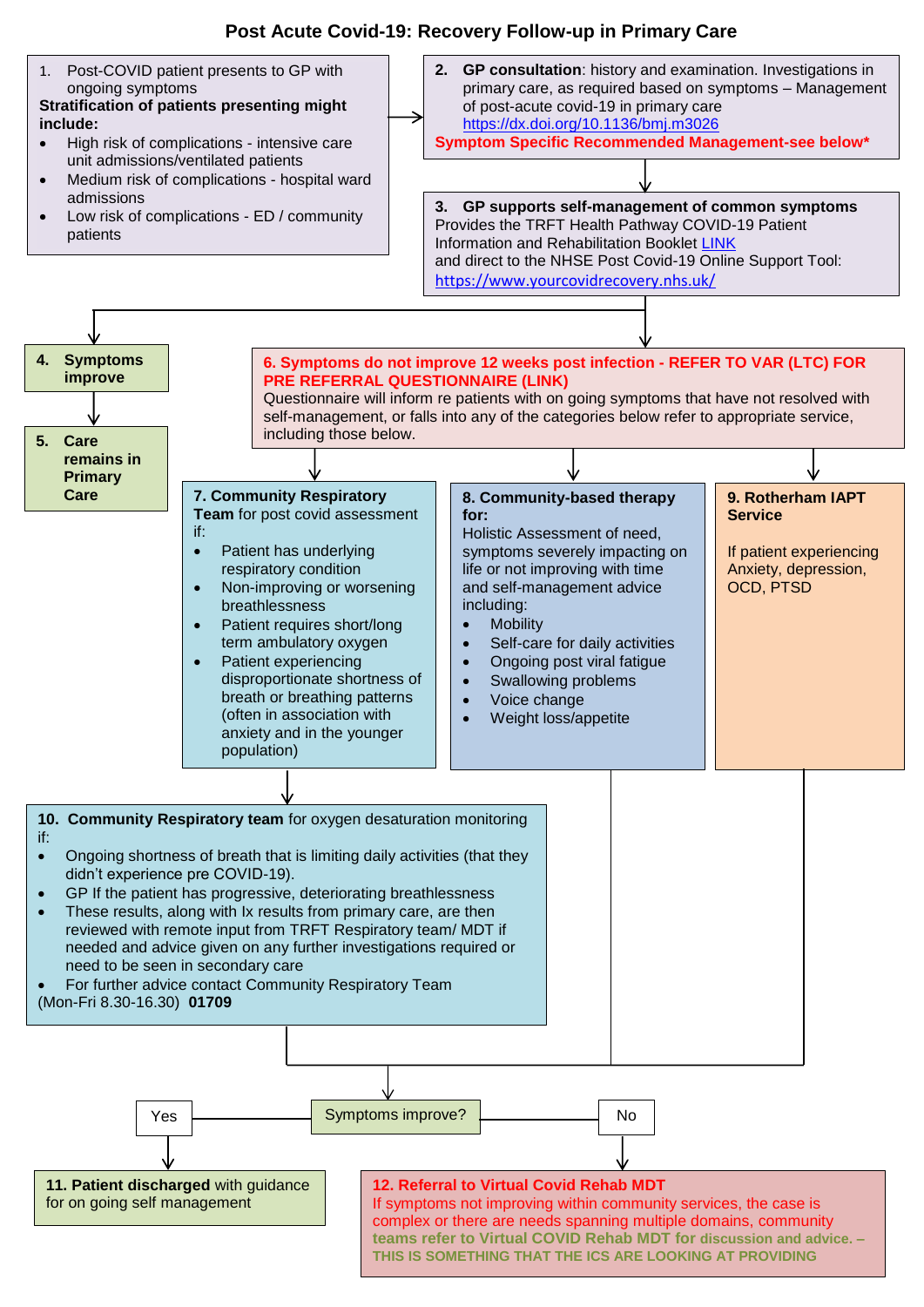## **Post Acute Covid-19: Recovery Follow-up in Primary Care**

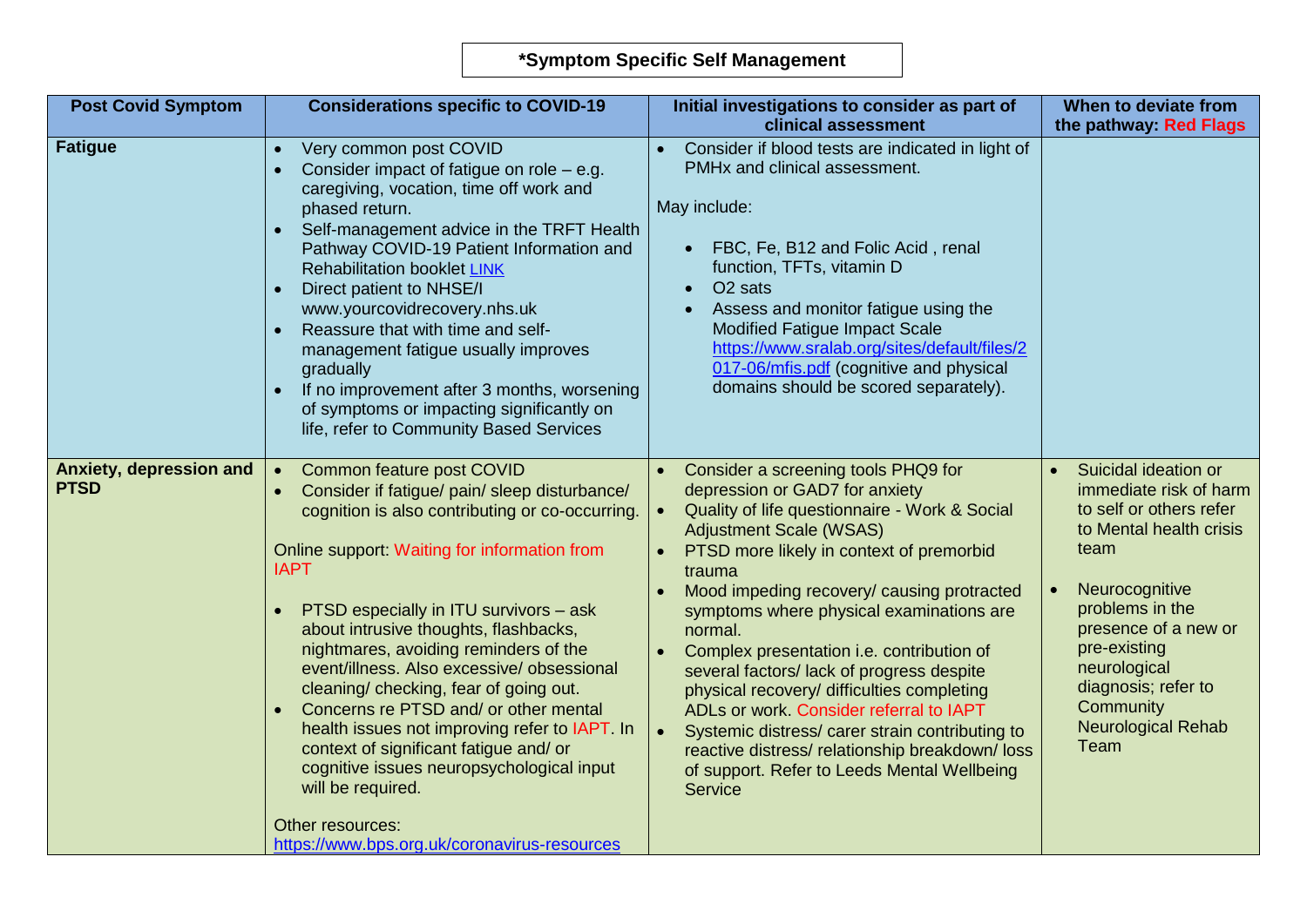| <b>Post Covid Symptom</b>              | <b>Considerations specific to COVID-19</b>                                                                                                                                                                                                                                                                                                                                                                                                                                                                                                                                                                                                                                                             | Initial investigations to consider as part of<br>clinical assessment                                                                                                                                                                                                                                                                                                                                                                                                                                                                                                                                                                                                | When to deviate from<br>the pathway: Red Flags                                                                                                                                                                                                                                     |
|----------------------------------------|--------------------------------------------------------------------------------------------------------------------------------------------------------------------------------------------------------------------------------------------------------------------------------------------------------------------------------------------------------------------------------------------------------------------------------------------------------------------------------------------------------------------------------------------------------------------------------------------------------------------------------------------------------------------------------------------------------|---------------------------------------------------------------------------------------------------------------------------------------------------------------------------------------------------------------------------------------------------------------------------------------------------------------------------------------------------------------------------------------------------------------------------------------------------------------------------------------------------------------------------------------------------------------------------------------------------------------------------------------------------------------------|------------------------------------------------------------------------------------------------------------------------------------------------------------------------------------------------------------------------------------------------------------------------------------|
| <b>Fatigue</b>                         | Very common post COVID<br>$\bullet$<br>Consider impact of fatigue on role $-$ e.g.<br>$\bullet$<br>caregiving, vocation, time off work and<br>phased return.<br>Self-management advice in the TRFT Health<br>Pathway COVID-19 Patient Information and<br><b>Rehabilitation booklet LINK</b><br>Direct patient to NHSE/I<br>$\bullet$<br>www.yourcovidrecovery.nhs.uk<br>Reassure that with time and self-<br>$\bullet$<br>management fatigue usually improves<br>gradually<br>If no improvement after 3 months, worsening<br>of symptoms or impacting significantly on<br>life, refer to Community Based Services                                                                                      | Consider if blood tests are indicated in light of<br>PMHx and clinical assessment.<br>May include:<br>FBC, Fe, B12 and Folic Acid, renal<br>$\bullet$<br>function, TFTs, vitamin D<br>O <sub>2</sub> sats<br>Assess and monitor fatigue using the<br><b>Modified Fatigue Impact Scale</b><br>https://www.sralab.org/sites/default/files/2<br>017-06/mfis.pdf (cognitive and physical<br>domains should be scored separately).                                                                                                                                                                                                                                       |                                                                                                                                                                                                                                                                                    |
| Anxiety, depression and<br><b>PTSD</b> | Common feature post COVID<br>$\bullet$<br>Consider if fatigue/ pain/ sleep disturbance/<br>cognition is also contributing or co-occurring.<br>Online support: Waiting for information from<br><b>IAPT</b><br>PTSD especially in ITU survivors - ask<br>about intrusive thoughts, flashbacks,<br>nightmares, avoiding reminders of the<br>event/illness. Also excessive/ obsessional<br>cleaning/checking, fear of going out.<br>Concerns re PTSD and/ or other mental<br>health issues not improving refer to IAPT. In<br>context of significant fatigue and/ or<br>cognitive issues neuropsychological input<br>will be required.<br>Other resources:<br>https://www.bps.org.uk/coronavirus-resources | Consider a screening tools PHQ9 for<br>depression or GAD7 for anxiety<br>Quality of life questionnaire - Work & Social<br><b>Adjustment Scale (WSAS)</b><br>PTSD more likely in context of premorbid<br>trauma<br>Mood impeding recovery/ causing protracted<br>symptoms where physical examinations are<br>normal.<br>Complex presentation i.e. contribution of<br>several factors/lack of progress despite<br>physical recovery/ difficulties completing<br>ADLs or work. Consider referral to IAPT<br>Systemic distress/ carer strain contributing to<br>reactive distress/relationship breakdown/loss<br>of support. Refer to Leeds Mental Wellbeing<br>Service | Suicidal ideation or<br>immediate risk of harm<br>to self or others refer<br>to Mental health crisis<br>team<br>Neurocognitive<br>problems in the<br>presence of a new or<br>pre-existing<br>neurological<br>diagnosis; refer to<br>Community<br><b>Neurological Rehab</b><br>Team |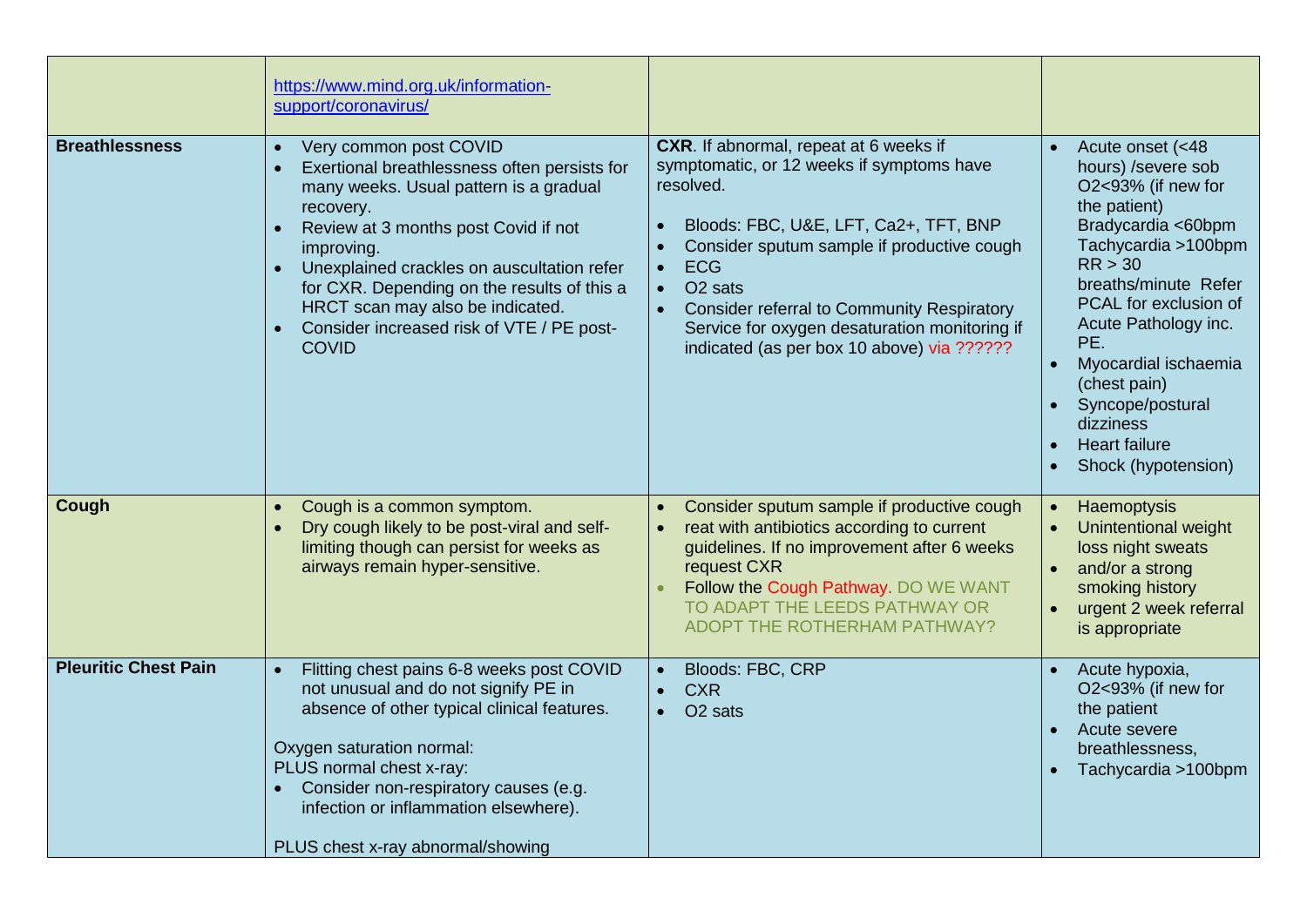|                             | https://www.mind.org.uk/information-<br>support/coronavirus/                                                                                                                                                                                                                                                                                                                                                |                                                                                                                                                                                                                                                                                                                                                                                                                         |                                                                                                                                                                                                                                                                                                                                                                        |
|-----------------------------|-------------------------------------------------------------------------------------------------------------------------------------------------------------------------------------------------------------------------------------------------------------------------------------------------------------------------------------------------------------------------------------------------------------|-------------------------------------------------------------------------------------------------------------------------------------------------------------------------------------------------------------------------------------------------------------------------------------------------------------------------------------------------------------------------------------------------------------------------|------------------------------------------------------------------------------------------------------------------------------------------------------------------------------------------------------------------------------------------------------------------------------------------------------------------------------------------------------------------------|
| <b>Breathlessness</b>       | Very common post COVID<br>$\bullet$<br>Exertional breathlessness often persists for<br>$\bullet$<br>many weeks. Usual pattern is a gradual<br>recovery.<br>Review at 3 months post Covid if not<br>improving.<br>Unexplained crackles on auscultation refer<br>for CXR. Depending on the results of this a<br>HRCT scan may also be indicated.<br>Consider increased risk of VTE / PE post-<br><b>COVID</b> | CXR. If abnormal, repeat at 6 weeks if<br>symptomatic, or 12 weeks if symptoms have<br>resolved.<br>Bloods: FBC, U&E, LFT, Ca2+, TFT, BNP<br>Consider sputum sample if productive cough<br><b>ECG</b><br>$\bullet$<br>O <sub>2</sub> sats<br>$\bullet$<br><b>Consider referral to Community Respiratory</b><br>$\bullet$<br>Service for oxygen desaturation monitoring if<br>indicated (as per box 10 above) via ?????? | Acute onset (<48<br>$\bullet$<br>hours) /severe sob<br>O2<93% (if new for<br>the patient)<br>Bradycardia <60bpm<br>Tachycardia >100bpm<br>RR > 30<br>breaths/minute Refer<br>PCAL for exclusion of<br>Acute Pathology inc.<br>PE.<br>Myocardial ischaemia<br>$\bullet$<br>(chest pain)<br>Syncope/postural<br>dizziness<br><b>Heart failure</b><br>Shock (hypotension) |
| Cough                       | Cough is a common symptom.<br>$\bullet$<br>Dry cough likely to be post-viral and self-<br>limiting though can persist for weeks as<br>airways remain hyper-sensitive.                                                                                                                                                                                                                                       | Consider sputum sample if productive cough<br>reat with antibiotics according to current<br>guidelines. If no improvement after 6 weeks<br>request CXR<br>Follow the Cough Pathway. DO WE WANT<br>TO ADAPT THE LEEDS PATHWAY OR<br><b>ADOPT THE ROTHERHAM PATHWAY?</b>                                                                                                                                                  | Haemoptysis<br>Unintentional weight<br>loss night sweats<br>and/or a strong<br>smoking history<br>urgent 2 week referral<br>$\bullet$<br>is appropriate                                                                                                                                                                                                                |
| <b>Pleuritic Chest Pain</b> | Flitting chest pains 6-8 weeks post COVID<br>not unusual and do not signify PE in<br>absence of other typical clinical features.<br>Oxygen saturation normal:<br>PLUS normal chest x-ray:<br>Consider non-respiratory causes (e.g.<br>infection or inflammation elsewhere).<br>PLUS chest x-ray abnormal/showing                                                                                            | Bloods: FBC, CRP<br><b>CXR</b><br>$\bullet$<br>O <sub>2</sub> sats                                                                                                                                                                                                                                                                                                                                                      | Acute hypoxia,<br>O2<93% (if new for<br>the patient<br>Acute severe<br>breathlessness,<br>Tachycardia >100bpm                                                                                                                                                                                                                                                          |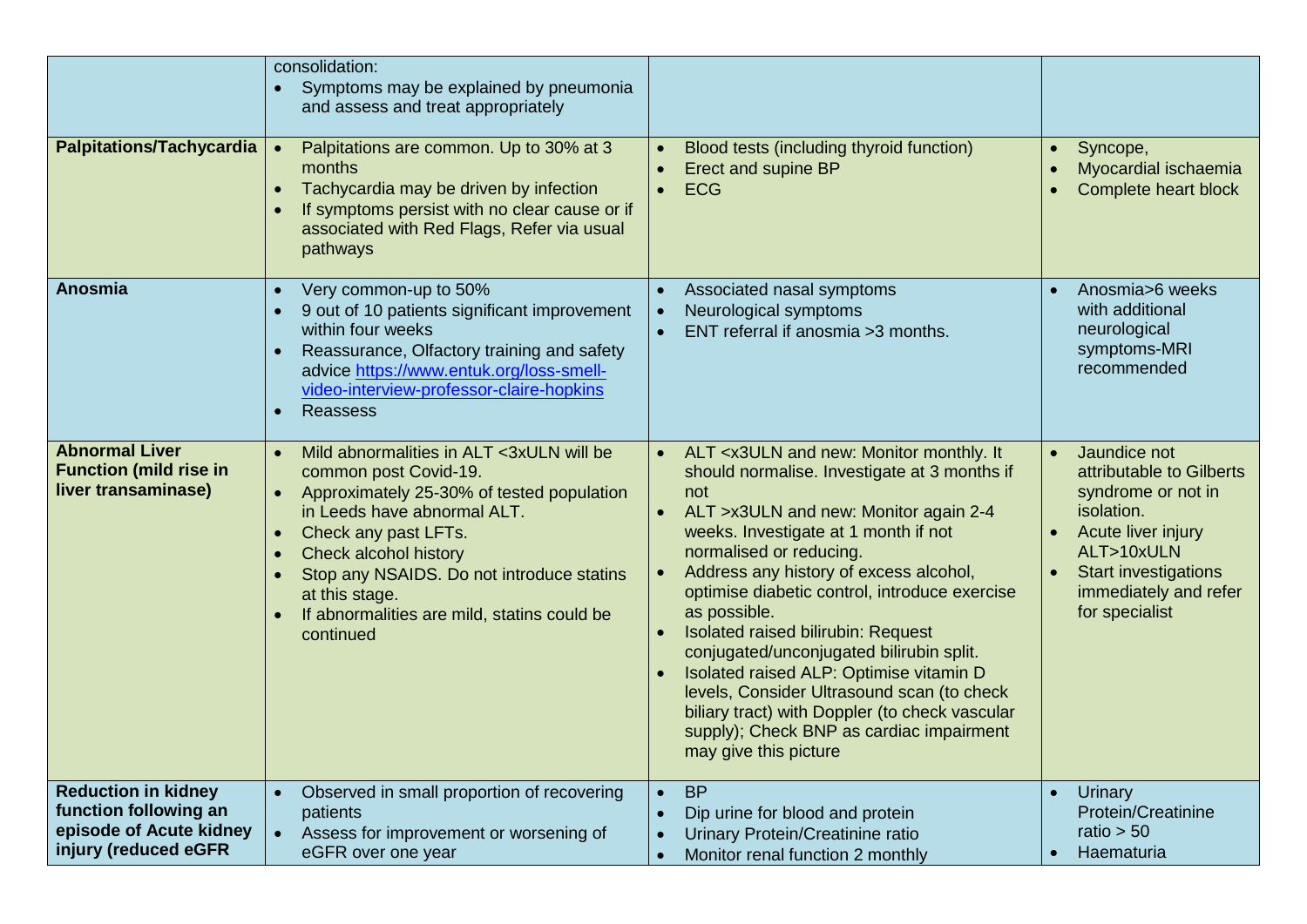| <b>Palpitations/Tachycardia</b>                                                                        | consolidation:<br>Symptoms may be explained by pneumonia<br>and assess and treat appropriately<br>Palpitations are common. Up to 30% at 3<br>$\bullet$<br>months<br>Tachycardia may be driven by infection<br>If symptoms persist with no clear cause or if<br>associated with Red Flags, Refer via usual<br>pathways                               | Blood tests (including thyroid function)<br><b>Erect and supine BP</b><br><b>ECG</b><br>$\bullet$                                                                                                                                                                                                                                                                                                                                                                                                                                                                                                                                                                | Syncope,<br>Myocardial ischaemia<br>Complete heart block                                                                                                                                                |
|--------------------------------------------------------------------------------------------------------|-----------------------------------------------------------------------------------------------------------------------------------------------------------------------------------------------------------------------------------------------------------------------------------------------------------------------------------------------------|------------------------------------------------------------------------------------------------------------------------------------------------------------------------------------------------------------------------------------------------------------------------------------------------------------------------------------------------------------------------------------------------------------------------------------------------------------------------------------------------------------------------------------------------------------------------------------------------------------------------------------------------------------------|---------------------------------------------------------------------------------------------------------------------------------------------------------------------------------------------------------|
| <b>Anosmia</b>                                                                                         | Very common-up to 50%<br>$\bullet$<br>9 out of 10 patients significant improvement<br>within four weeks<br>Reassurance, Olfactory training and safety<br>$\bullet$<br>advice https://www.entuk.org/loss-smell-<br>video-interview-professor-claire-hopkins<br><b>Reassess</b><br>$\bullet$                                                          | Associated nasal symptoms<br>Neurological symptoms<br>ENT referral if anosmia >3 months.                                                                                                                                                                                                                                                                                                                                                                                                                                                                                                                                                                         | Anosmia>6 weeks<br>$\bullet$<br>with additional<br>neurological<br>symptoms-MRI<br>recommended                                                                                                          |
| <b>Abnormal Liver</b><br><b>Function (mild rise in</b><br>liver transaminase)                          | Mild abnormalities in ALT <3xULN will be<br>common post Covid-19.<br>Approximately 25-30% of tested population<br>in Leeds have abnormal ALT.<br>Check any past LFTs.<br>$\bullet$<br>Check alcohol history<br>$\bullet$<br>Stop any NSAIDS. Do not introduce statins<br>at this stage.<br>If abnormalities are mild, statins could be<br>continued | ALT <x3uln and="" it<br="" monitor="" monthly.="" new:="">should normalise. Investigate at 3 months if<br/>not<br/>ALT &gt; x3ULN and new: Monitor again 2-4<br/>weeks. Investigate at 1 month if not<br/>normalised or reducing.<br/>Address any history of excess alcohol,<br/>optimise diabetic control, introduce exercise<br/>as possible.<br/>Isolated raised bilirubin: Request<br/>conjugated/unconjugated bilirubin split.<br/>Isolated raised ALP: Optimise vitamin D<br/>levels, Consider Ultrasound scan (to check<br/>biliary tract) with Doppler (to check vascular<br/>supply); Check BNP as cardiac impairment<br/>may give this picture</x3uln> | Jaundice not<br>$\bullet$<br>attributable to Gilberts<br>syndrome or not in<br>isolation.<br>Acute liver injury<br>ALT>10xULN<br><b>Start investigations</b><br>immediately and refer<br>for specialist |
| <b>Reduction in kidney</b><br>function following an<br>episode of Acute kidney<br>injury (reduced eGFR | Observed in small proportion of recovering<br>patients<br>Assess for improvement or worsening of<br>eGFR over one year                                                                                                                                                                                                                              | <b>BP</b><br>$\bullet$<br>Dip urine for blood and protein<br>Urinary Protein/Creatinine ratio<br>Monitor renal function 2 monthly<br>$\bullet$                                                                                                                                                                                                                                                                                                                                                                                                                                                                                                                   | Urinary<br>Protein/Creatinine<br>ratio $> 50$<br>Haematuria<br>$\bullet$                                                                                                                                |